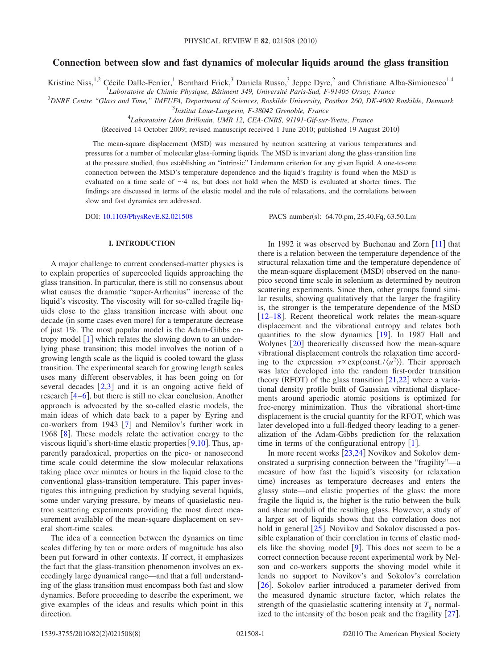# **Connection between slow and fast dynamics of molecular liquids around the glass transition**

Kristine Niss,<sup>1,2</sup> Cécile Dalle-Ferrier,<sup>1</sup> Bernhard Frick,<sup>3</sup> Daniela Russo,<sup>3</sup> Jeppe Dyre,<sup>2</sup> and Christiane Alba-Simionesco<sup>1,4</sup>

1 *Laboratoire de Chimie Physique, Bâtiment 349, Université Paris-Sud, F-91405 Orsay, France*

2 *DNRF Centre "Glass and Time," IMFUFA, Department of Sciences, Roskilde University, Postbox 260, DK-4000 Roskilde, Denmark* 3 *Institut Laue-Langevin, F-38042 Grenoble, France*

4 *Laboratoire Léon Brillouin, UMR 12, CEA-CNRS, 91191-Gif-sur-Yvette, France*

(Received 14 October 2009; revised manuscript received 1 June 2010; published 19 August 2010)

The mean-square displacement (MSD) was measured by neutron scattering at various temperatures and pressures for a number of molecular glass-forming liquids. The MSD is invariant along the glass-transition line at the pressure studied, thus establishing an "intrinsic" Lindemann criterion for any given liquid. A one-to-one connection between the MSD's temperature dependence and the liquid's fragility is found when the MSD is evaluated on a time scale of  $\sim$ 4 ns, but does not hold when the MSD is evaluated at shorter times. The findings are discussed in terms of the elastic model and the role of relaxations, and the correlations between slow and fast dynamics are addressed.

DOI: [10.1103/PhysRevE.82.021508](http://dx.doi.org/10.1103/PhysRevE.82.021508)

PACS number(s): 64.70.pm, 25.40.Fq, 63.50.Lm

# **I. INTRODUCTION**

A major challenge to current condensed-matter physics is to explain properties of supercooled liquids approaching the glass transition. In particular, there is still no consensus about what causes the dramatic "super-Arrhenius" increase of the liquid's viscosity. The viscosity will for so-called fragile liquids close to the glass transition increase with about one decade (in some cases even more) for a temperature decrease of just 1%. The most popular model is the Adam-Gibbs entropy model  $[1]$  $[1]$  $[1]$  which relates the slowing down to an underlying phase transition; this model involves the notion of a growing length scale as the liquid is cooled toward the glass transition. The experimental search for growing length scales uses many different observables, it has been going on for several decades  $[2,3]$  $[2,3]$  $[2,3]$  $[2,3]$  and it is an ongoing active field of research  $\left[4-6\right]$  $\left[4-6\right]$  $\left[4-6\right]$ , but there is still no clear conclusion. Another approach is advocated by the so-called elastic models, the main ideas of which date back to a paper by Eyring and co-workers from 1943  $\lceil 7 \rceil$  $\lceil 7 \rceil$  $\lceil 7 \rceil$  and Nemilov's further work in 196[8](#page-6-6)  $\lceil 8 \rceil$ . These models relate the activation energy to the viscous liquid's short-time elastic properties  $[9,10]$  $[9,10]$  $[9,10]$  $[9,10]$ . Thus, apparently paradoxical, properties on the pico- or nanosecond time scale could determine the slow molecular relaxations taking place over minutes or hours in the liquid close to the conventional glass-transition temperature. This paper investigates this intriguing prediction by studying several liquids, some under varying pressure, by means of quasielastic neutron scattering experiments providing the most direct measurement available of the mean-square displacement on several short-time scales.

The idea of a connection between the dynamics on time scales differing by ten or more orders of magnitude has also been put forward in other contexts. If correct, it emphasizes the fact that the glass-transition phenomenon involves an exceedingly large dynamical range—and that a full understanding of the glass transition must encompass both fast and slow dynamics. Before proceeding to describe the experiment, we give examples of the ideas and results which point in this direction.

In 1992 it was observed by Buchenau and Zorn  $\lceil 11 \rceil$  $\lceil 11 \rceil$  $\lceil 11 \rceil$  that there is a relation between the temperature dependence of the structural relaxation time and the temperature dependence of the mean-square displacement (MSD) observed on the nanopico second time scale in selenium as determined by neutron scattering experiments. Since then, other groups found similar results, showing qualitatively that the larger the fragility is, the stronger is the temperature dependence of the MSD  $[12-18]$  $[12-18]$  $[12-18]$ . Recent theoretical work relates the mean-square displacement and the vibrational entropy and relates both quantities to the slow dynamics [[19](#page-6-12)]. In 1987 Hall and Wolynes [[20](#page-6-13)] theoretically discussed how the mean-square vibrational displacement controls the relaxation time according to the expression  $\tau \propto \exp(\text{const.}/\langle u^2 \rangle)$ . Their approach was later developed into the random first-order transition theory (RFOT) of the glass transition  $[21,22]$  $[21,22]$  $[21,22]$  $[21,22]$  where a variational density profile built of Gaussian vibrational displacements around aperiodic atomic positions is optimized for free-energy minimization. Thus the vibrational short-time displacement is the crucial quantity for the RFOT, which was later developed into a full-fledged theory leading to a generalization of the Adam-Gibbs prediction for the relaxation time in terms of the configurational entropy  $[1]$  $[1]$  $[1]$ .

In more recent works  $[23,24]$  $[23,24]$  $[23,24]$  $[23,24]$  Novikov and Sokolov demonstrated a surprising connection between the "fragility"—a measure of how fast the liquid's viscosity (or relaxation time) increases as temperature decreases and enters the glassy state—and elastic properties of the glass: the more fragile the liquid is, the higher is the ratio between the bulk and shear moduli of the resulting glass. However, a study of a larger set of liquids shows that the correlation does not hold in general  $[25]$  $[25]$  $[25]$ . Novikov and Sokolov discussed a possible explanation of their correlation in terms of elastic models like the shoving model  $[9]$  $[9]$  $[9]$ . This does not seem to be a correct connection because recent experimental work by Nelson and co-workers supports the shoving model while it lends no support to Novikov's and Sokolov's correlation [[26](#page-6-19)]. Sokolov earlier introduced a parameter derived from the measured dynamic structure factor, which relates the strength of the quasielastic scattering intensity at  $T<sub>g</sub>$  normalized to the intensity of the boson peak and the fragility  $[27]$  $[27]$  $[27]$ .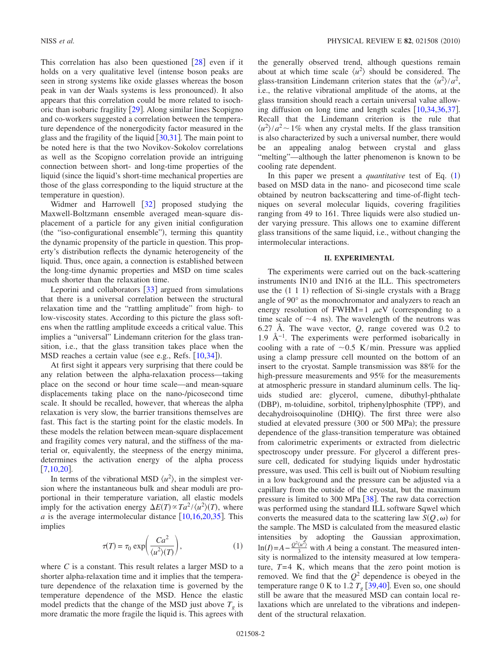This correlation has also been questioned  $[28]$  $[28]$  $[28]$  even if it holds on a very qualitative level (intense boson peaks are seen in strong systems like oxide glasses whereas the boson peak in van der Waals systems is less pronounced). It also appears that this correlation could be more related to isochoric than isobaric fragility  $\lceil 29 \rceil$  $\lceil 29 \rceil$  $\lceil 29 \rceil$ . Along similar lines Scopigno and co-workers suggested a correlation between the temperature dependence of the nonergodicity factor measured in the glass and the fragility of the liquid  $\left[30,31\right]$  $\left[30,31\right]$  $\left[30,31\right]$  $\left[30,31\right]$ . The main point to be noted here is that the two Novikov-Sokolov correlations as well as the Scopigno correlation provide an intriguing connection between short- and long-time properties of the liquid (since the liquid's short-time mechanical properties are those of the glass corresponding to the liquid structure at the temperature in question).

Widmer and Harrowell  $\begin{bmatrix} 32 \end{bmatrix}$  $\begin{bmatrix} 32 \end{bmatrix}$  $\begin{bmatrix} 32 \end{bmatrix}$  proposed studying the Maxwell-Boltzmann ensemble averaged mean-square displacement of a particle for any given initial configuration (the "iso-configurational ensemble"), terming this quantity the dynamic propensity of the particle in question. This property's distribution reflects the dynamic heterogeneity of the liquid. Thus, once again, a connection is established between the long-time dynamic properties and MSD on time scales much shorter than the relaxation time.

Leporini and collaborators  $\lceil 33 \rceil$  $\lceil 33 \rceil$  $\lceil 33 \rceil$  argued from simulations that there is a universal correlation between the structural relaxation time and the "rattling amplitude" from high- to low-viscosity states. According to this picture the glass softens when the rattling amplitude exceeds a critical value. This implies a "universal" Lindemann criterion for the glass transition, i.e., that the glass transition takes place when the MSD reaches a certain value (see e.g., Refs. [[10](#page-6-8)[,34](#page-6-27)]).

At first sight it appears very surprising that there could be any relation between the alpha-relaxation process—taking place on the second or hour time scale—and mean-square displacements taking place on the nano-/picosecond time scale. It should be recalled, however, that whereas the alpha relaxation is very slow, the barrier transitions themselves are fast. This fact is the starting point for the elastic models. In these models the relation between mean-square displacement and fragility comes very natural, and the stiffness of the material or, equivalently, the steepness of the energy minima, determines the activation energy of the alpha process  $[7,10,20]$  $[7,10,20]$  $[7,10,20]$  $[7,10,20]$  $[7,10,20]$ .

In terms of the vibrational MSD  $\langle u^2 \rangle$ , in the simplest version where the instantaneous bulk and shear moduli are proportional in their temperature variation, all elastic models imply for the activation energy  $\Delta E(T) \propto Ta^2 / \langle u^2 \rangle(T)$ , where  $a$  is the average intermolecular distance  $[10,16,20,35]$  $[10,16,20,35]$  $[10,16,20,35]$  $[10,16,20,35]$  $[10,16,20,35]$  $[10,16,20,35]$ . This implies

$$
\tau(T) = \tau_0 \exp\left(\frac{Ca^2}{\langle u^2 \rangle(T)}\right),\tag{1}
$$

<span id="page-1-0"></span>where *C* is a constant. This result relates a larger MSD to a shorter alpha-relaxation time and it implies that the temperature dependence of the relaxation time is governed by the temperature dependence of the MSD. Hence the elastic model predicts that the change of the MSD just above  $T<sub>g</sub>$  is more dramatic the more fragile the liquid is. This agrees with the generally observed trend, although questions remain about at which time scale  $\langle u^2 \rangle$  should be considered. The glass-transition Lindemann criterion states that the  $\langle u^2 \rangle / a^2$ , i.e., the relative vibrational amplitude of the atoms, at the glass transition should reach a certain universal value allowing diffusion on long time and length scales  $[10,34,36,37]$  $[10,34,36,37]$  $[10,34,36,37]$  $[10,34,36,37]$  $[10,34,36,37]$  $[10,34,36,37]$ . Recall that the Lindemann criterion is the rule that  $\langle u^2 \rangle / a^2$  ~ 1% when any crystal melts. If the glass transition is also characterized by such a universal number, there would be an appealing analog between crystal and glass "melting"—although the latter phenomenon is known to be cooling rate dependent.

In this paper we present a *quantitative* test of Eq. ([1](#page-1-0)) based on MSD data in the nano- and picosecond time scale obtained by neutron backscattering and time-of-flight techniques on several molecular liquids, covering fragilities ranging from 49 to 161. Three liquids were also studied under varying pressure. This allows one to examine different glass transitions of the same liquid, i.e., without changing the intermolecular interactions.

## **II. EXPERIMENTAL**

The experiments were carried out on the back-scattering instruments IN10 and IN16 at the ILL. This spectrometers use the  $(1\ 1\ 1)$  reflection of Si-single crystals with a Bragg angle of 90° as the monochromator and analyzers to reach an energy resolution of FWHM=1  $\mu$ eV (corresponding to a time scale of  $\sim$ 4 ns). The wavelength of the neutrons was 6.27 Å. The wave vector, *Q*, range covered was 0.2 to 1.9 Å<sup> $-1$ </sup>. The experiments were performed isobarically in cooling with a rate of  $\sim 0.5$  K/min. Pressure was applied using a clamp pressure cell mounted on the bottom of an insert to the cryostat. Sample transmission was 88% for the high-pressure measurements and 95% for the measurements at atmospheric pressure in standard aluminum cells. The liquids studied are: glycerol, cumene, dibuthyl-phthalate (DBP), m-toluidine, sorbitol, triphenylphosphite (TPP), and decahydroisoquinoline (DHIQ). The first three were also studied at elevated pressure (300 or 500 MPa); the pressure dependence of the glass-transition temperature was obtained from calorimetric experiments or extracted from dielectric spectroscopy under pressure. For glycerol a different pressure cell, dedicated for studying liquids under hydrostatic pressure, was used. This cell is built out of Niobium resulting in a low background and the pressure can be adjusted via a capillary from the outside of the cryostat, but the maximum pressure is limited to 300 MPa  $[38]$  $[38]$  $[38]$ . The raw data correction was performed using the standard ILL software Sqwel which converts the measured data to the scattering law  $S(Q, \omega)$  for the sample. The MSD is calculated from the measured elastic intensities by adopting the Gaussian approximation,  $\ln(I) = A - \frac{Q^2 \langle u^2 \rangle}{3}$  with *A* being a constant. The measured intensity is normalized to the intensity measured at low temperature, *T*=4 K, which means that the zero point motion is removed. We find that the  $Q^2$  dependence is obeyed in the temperature range 0 K to 1.2  $T_g$  [[39,](#page-6-33)[40](#page-6-34)]. Even so, one should still be aware that the measured MSD can contain local relaxations which are unrelated to the vibrations and independent of the structural relaxation.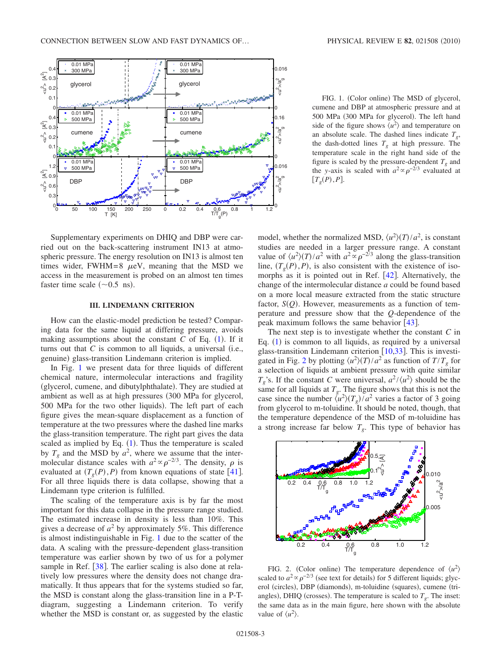<span id="page-2-0"></span>

FIG. 1. (Color online) The MSD of glycerol, cumene and DBP at atmospheric pressure and at 500 MPa (300 MPa for glycerol). The left hand side of the figure shows  $\langle u^2 \rangle$  and temperature on an absolute scale. The dashed lines indicate  $T<sub>o</sub>$ , the dash-dotted lines  $T_g$  at high pressure. The temperature scale in the right hand side of the figure is scaled by the pressure-dependent  $T_g$  and the *y*-axis is scaled with  $a^2 \propto \rho^{-2/3}$  evaluated at  $[T_g(P), P].$ 

Supplementary experiments on DHIQ and DBP were carried out on the back-scattering instrument IN13 at atmospheric pressure. The energy resolution on IN13 is almost ten times wider, FWHM=8  $\mu$ eV, meaning that the MSD we access in the measurement is probed on an almost ten times faster time scale  $(\sim 0.5 \text{ ns})$ .

#### **III. LINDEMANN CRITERION**

How can the elastic-model prediction be tested? Comparing data for the same liquid at differing pressure, avoids making assumptions about the constant  $C$  of Eq.  $(1)$  $(1)$  $(1)$ . If it turns out that  $C$  is common to all liquids, a universal (i.e., genuine) glass-transition Lindemann criterion is implied.

In Fig. [1](#page-2-0) we present data for three liquids of different chemical nature, intermolecular interactions and fragility (glycerol, cumene, and dibutylphthalate). They are studied at ambient as well as at high pressures (300 MPa for glycerol, 500 MPa for the two other liquids). The left part of each figure gives the mean-square displacement as a function of temperature at the two pressures where the dashed line marks the glass-transition temperature. The right part gives the data scaled as implied by Eq.  $(1)$  $(1)$  $(1)$ . Thus the temperature is scaled by  $T_g$  and the MSD by  $a^2$ , where we assume that the intermolecular distance scales with  $a^2 \propto \rho^{-2/3}$ . The density,  $\rho$  is evaluated at  $(T_g(P), P)$  from known equations of state [[41](#page-6-35)]. For all three liquids there is data collapse, showing that a Lindemann type criterion is fulfilled.

The scaling of the temperature axis is by far the most important for this data collapse in the pressure range studied. The estimated increase in density is less than 10%. This gives a decrease of  $a^2$  by approximately 5%. This difference is almost indistinguishable in Fig. [1](#page-2-0) due to the scatter of the data. A scaling with the pressure-dependent glass-transition temperature was earlier shown by two of us for a polymer sample in Ref.  $[38]$  $[38]$  $[38]$ . The earlier scaling is also done at relatively low pressures where the density does not change dramatically. It thus appears that for the systems studied so far, the MSD is constant along the glass-transition line in a P-Tdiagram, suggesting a Lindemann criterion. To verify whether the MSD is constant or, as suggested by the elastic

model, whether the normalized MSD,  $\langle u^2 \rangle(T) / a^2$ , is constant studies are needed in a larger pressure range. A constant value of  $\langle u^2 \rangle (T) / a^2$  with  $a^2 \propto \rho^{-2/3}$  along the glass-transition line,  $(T_g(P), P)$ , is also consistent with the existence of isomorphs as it is pointed out in Ref.  $[42]$  $[42]$  $[42]$ . Alternatively, the change of the intermolecular distance *a* could be found based on a more local measure extracted from the static structure factor,  $S(Q)$ . However, measurements as a function of temperature and pressure show that the *Q*-dependence of the peak maximum follows the same behavior  $[43]$  $[43]$  $[43]$ .

The next step is to investigate whether the constant *C* in Eq.  $(1)$  $(1)$  $(1)$  is common to all liquids, as required by a universal glass-transition Lindemann criterion  $[10,33]$  $[10,33]$  $[10,33]$  $[10,33]$ . This is investi-gated in Fig. [2](#page-2-1) by plotting  $\langle u^2 \rangle(T) / a^2$  as function of  $T/T_g$  for a selection of liquids at ambient pressure with quite similar  $T_g$ 's. If the constant *C* were universal,  $a^2 / \langle u^2 \rangle$  should be the same for all liquids at  $T_g$ . The figure shows that this is not the case since the number  $\langle u^2 \rangle (T_g) / a^2$  varies a factor of 3 going from glycerol to m-toluidine. It should be noted, though, that the temperature dependence of the MSD of m-toluidine has a strong increase far below  $T<sub>g</sub>$ . This type of behavior has

<span id="page-2-1"></span>

FIG. 2. (Color online) The temperature dependence of  $\langle u^2 \rangle$ scaled to  $a^2 \propto \rho^{-2/3}$  (see text for details) for 5 different liquids; glycerol (circles), DBP (diamonds), m-toluidine (squares), cumene (triangles), DHIQ (crosses). The temperature is scaled to  $T_g$ . The inset: the same data as in the main figure, here shown with the absolute value of  $\langle u^2 \rangle$ .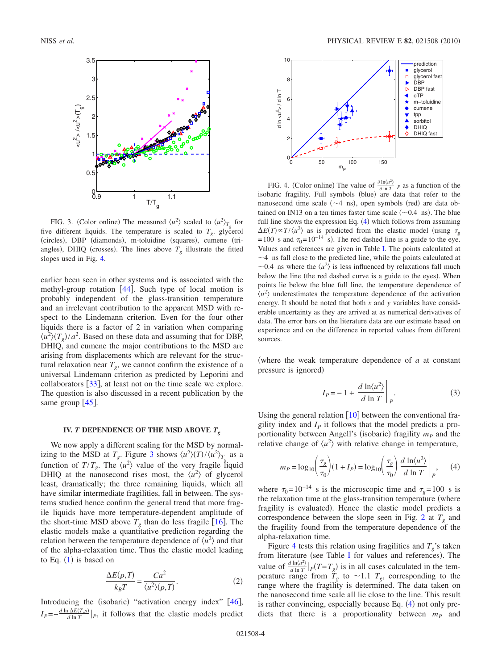<span id="page-3-0"></span>

FIG. 3. (Color online) The measured  $\langle u^2 \rangle$  scaled to  $\langle u^2 \rangle_{T_g}$  for five different liquids. The temperature is scaled to  $T_g$ . glycerol (circles), DBP (diamonds), m-toluidine (squares), cumene (triangles), DHIQ (crosses). The lines above  $T_g$  illustrate the fitted slopes used in Fig. [4.](#page-3-1)

earlier been seen in other systems and is associated with the methyl-group rotation  $[44]$  $[44]$  $[44]$ . Such type of local motion is probably independent of the glass-transition temperature and an irrelevant contribution to the apparent MSD with respect to the Lindemann criterion. Even for the four other liquids there is a factor of 2 in variation when comparing  $\langle u^2 \rangle (T_g)/a^2$ . Based on these data and assuming that for DBP, DHIQ, and cumene the major contributions to the MSD are arising from displacements which are relevant for the structural relaxation near  $T_g$ , we cannot confirm the existence of a universal Lindemann criterion as predicted by Leporini and collaborators  $\left[33\right]$  $\left[33\right]$  $\left[33\right]$ , at least not on the time scale we explore. The question is also discussed in a recent publication by the same group  $[45]$  $[45]$  $[45]$ .

### **IV.** *T* DEPENDENCE OF THE MSD ABOVE  $T_g$

We now apply a different scaling for the MSD by normalizing to the MSD at  $T_g$ . Figure [3](#page-3-0) shows  $\langle u^2 \rangle (T) / \langle u^2 \rangle_{T_g}$  as a function of  $T/T_g$ . The  $\langle u^2 \rangle$  value of the very fragile liquid DHIQ at the nanosecond rises most, the  $\langle u^2 \rangle$  of glycerol least, dramatically; the three remaining liquids, which all have similar intermediate fragilities, fall in between. The systems studied hence confirm the general trend that more fragile liquids have more temperature-dependent amplitude of the short-time MSD above  $T_g$  than do less fragile [[16](#page-6-28)]. The elastic models make a quantitative prediction regarding the relation between the temperature dependence of  $\langle u^2 \rangle$  and that of the alpha-relaxation time. Thus the elastic model leading to Eq.  $(1)$  $(1)$  $(1)$  is based on

$$
\frac{\Delta E(\rho, T)}{k_B T} = \frac{Ca^2}{\langle u^2 \rangle(\rho, T)}.
$$
 (2)

Introducing the (isobaric) "activation energy index" [[46](#page-6-40)],  $I_P=-\frac{d \ln \Delta E(T,\rho)}{d \ln T}|_P$ , it follows that the elastic models predict

<span id="page-3-1"></span>

FIG. 4. (Color online) The value of  $\frac{\partial \ln(u^2)}{\partial \ln T}\Big|_P$  as a function of the isobaric fragility. Full symbols (blue) are data that refer to the nanosecond time scale  $(\sim 4 \text{ ns})$ , open symbols (red) are data obtained on IN13 on a ten times faster time scale  $(\sim 0.4 \text{ ns})$ . The blue full line shows the expression Eq. ([4](#page-3-2)) which follows from assuming  $\Delta E(T) \propto T/\langle u^2 \rangle$  as is predicted from the elastic model (using  $\tau_g$  $= 100$  s and  $\tau_0 = 10^{-14}$  s). The red dashed line is a guide to the eye. Values and references are given in Table [I.](#page-4-0) The points calculated at  $\sim$ 4 ns fall close to the predicted line, while the points calculated at  $\sim$ 0.4 ns where the  $\langle u^2 \rangle$  is less influenced by relaxations fall much below the line (the red dashed curve is a guide to the eyes). When points lie below the blue full line, the temperature dependence of  $\langle u^2 \rangle$  underestimates the temperature dependence of the activation energy. It should be noted that both *x* and *y* variables have considerable uncertainty as they are arrived at as numerical derivatives of data. The error bars on the literature data are our estimate based on experience and on the difference in reported values from different sources.

where the weak temperature dependence of *a* at constant pressure is ignored)

$$
I_P = -1 + \left. \frac{d \ln \langle u^2 \rangle}{d \ln T} \right|_P.
$$
 (3)

Using the general relation  $\lceil 10 \rceil$  $\lceil 10 \rceil$  $\lceil 10 \rceil$  between the conventional fragility index and  $I<sub>p</sub>$  it follows that the model predicts a proportionality between Angell's (isobaric) fragility  $m<sub>P</sub>$  and the relative change of  $\langle u^2 \rangle$  with relative change in temperature,

<span id="page-3-2"></span>
$$
m_P = \log_{10}\left(\frac{\tau_g}{\tau_0}\right)(1+I_P) = \log_{10}\left(\frac{\tau_g}{\tau_0}\right)\frac{d\ln\langle u^2 \rangle}{d\ln T}\bigg|_P,\qquad(4)
$$

where  $\tau_0$ =10<sup>-14</sup> s is the microscopic time and  $\tau_g$ =100 s is the relaxation time at the glass-transition temperature (where fragility is evaluated). Hence the elastic model predicts a correspondence between the slope seen in Fig. [2](#page-2-1) at  $T<sub>g</sub>$  and the fragility found from the temperature dependence of the alpha-relaxation time.

Figure [4](#page-3-1) tests this relation using fragilities and  $T_g$ 's taken from literature (see Table [I](#page-4-0) for values and references). The value of  $\frac{d \ln \langle u^2 \rangle}{d \ln T}$  |  $p(T = T_g)$  is in all cases calculated in the temperature range from  $\overline{T}_g$  to ~1.1  $T_g$ , corresponding to the range where the fragility is determined. The data taken on the nanosecond time scale all lie close to the line. This result is rather convincing, especially because Eq. ([4](#page-3-2)) not only predicts that there is a proportionality between  $m_p$  and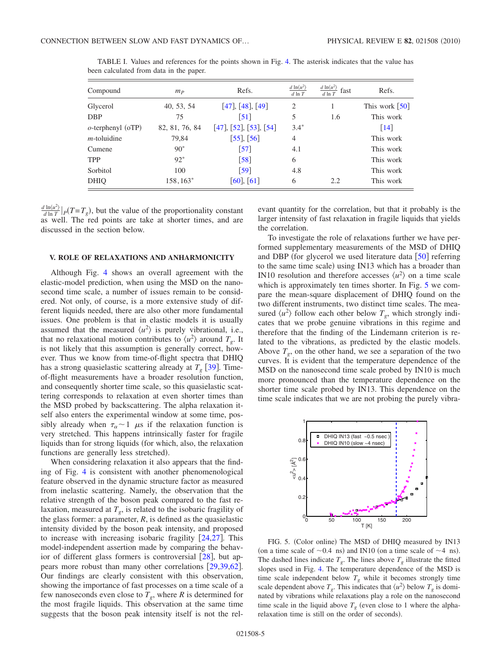| Compound             | $m_P$          | Refs.                     | d $\ln\langle u^2 \rangle$<br>$d \ln T$ | $d \ln \langle u^2 \rangle$<br>fast<br>$d \ln T$ | Refs.                        |
|----------------------|----------------|---------------------------|-----------------------------------------|--------------------------------------------------|------------------------------|
| Glycerol             | 40, 53, 54     | [47], [48], [49]          | $\overline{2}$                          |                                                  | This work $\lceil 50 \rceil$ |
| <b>DBP</b>           | 75             | $\lceil 51 \rceil$        | 5                                       | 1.6                                              | This work                    |
| $o$ -terphenyl (oTP) | 82, 81, 76, 84 | $[47]$ , [52], [53], [54] | $3.4*$                                  |                                                  | $\lceil 14 \rceil$           |
| $m$ -toluidine       | 79,84          | $[55]$ , $[56]$           | $\overline{4}$                          |                                                  | This work                    |
| Cumene               | $90*$          | $\lceil 57 \rceil$        | 4.1                                     |                                                  | This work                    |
| <b>TPP</b>           | $92*$          | $\lceil 58 \rceil$        | 6                                       |                                                  | This work                    |
| Sorbitol             | 100            | $\lceil 59 \rceil$        | 4.8                                     |                                                  | This work                    |
| <b>DHIO</b>          | 158,163*       | [60], [61]                | 6                                       | 2.2                                              | This work                    |

<span id="page-4-0"></span>TABLE I. Values and references for the points shown in Fig. [4.](#page-3-1) The asterisk indicates that the value has been calculated from data in the paper.

 $\frac{d \ln \langle u^2 \rangle}{d \ln T}$   $\left| p(T = T_g) \right|$ , but the value of the proportionality constant as well. The red points are take at shorter times, and are discussed in the section below.

#### **V. ROLE OF RELAXATIONS AND ANHARMONICITY**

Although Fig. [4](#page-3-1) shows an overall agreement with the elastic-model prediction, when using the MSD on the nanosecond time scale, a number of issues remain to be considered. Not only, of course, is a more extensive study of different liquids needed, there are also other more fundamental issues. One problem is that in elastic models it is usually assumed that the measured  $\langle u^2 \rangle$  is purely vibrational, i.e., that no relaxational motion contributes to  $\langle u^2 \rangle$  around  $T_g$ . It is not likely that this assumption is generally correct, however. Thus we know from time-of-flight spectra that DHIQ has a strong quasielastic scattering already at  $T<sub>g</sub>$  [[39](#page-6-33)]. Timeof-flight measurements have a broader resolution function, and consequently shorter time scale, so this quasielastic scattering corresponds to relaxation at even shorter times than the MSD probed by backscattering. The alpha relaxation itself also enters the experimental window at some time, possibly already when  $\tau_{\alpha} \sim 1$   $\mu$ s if the relaxation function is very stretched. This happens intrinsically faster for fragile liquids than for strong liquids (for which, also, the relaxation functions are generally less stretched).

When considering relaxation it also appears that the finding of Fig. [4](#page-3-1) is consistent with another phenomenological feature observed in the dynamic structure factor as measured from inelastic scattering. Namely, the observation that the relative strength of the boson peak compared to the fast relaxation, measured at  $T_g$ , is related to the isobaric fragility of the glass former: a parameter,  $R$ , is defined as the quasielastic intensity divided by the boson peak intensity, and proposed to increase with increasing isobaric fragility  $[24,27]$  $[24,27]$  $[24,27]$  $[24,27]$ . This model-independent assertion made by comparing the behavior of different glass formers is controversial  $[28]$  $[28]$  $[28]$ , but appears more robust than many other correlations  $[29,39,62]$  $[29,39,62]$  $[29,39,62]$  $[29,39,62]$  $[29,39,62]$ . Our findings are clearly consistent with this observation, showing the importance of fast processes on a time scale of a few nanoseconds even close to  $T_g$ , where  $R$  is determined for the most fragile liquids. This observation at the same time suggests that the boson peak intensity itself is not the relevant quantity for the correlation, but that it probably is the larger intensity of fast relaxation in fragile liquids that yields the correlation.

To investigate the role of relaxations further we have performed supplementary measurements of the MSD of DHIQ and DBP (for glycerol we used literature data  $\lceil 50 \rceil$  $\lceil 50 \rceil$  $\lceil 50 \rceil$  referring to the same time scale) using IN13 which has a broader than IN10 resolution and therefore accesses  $\langle u^2 \rangle$  on a time scale which is approximately ten times shorter. In Fig. [5](#page-4-1) we compare the mean-square displacement of DHIQ found on the two different instruments, two distinct time scales. The measured  $\langle u^2 \rangle$  follow each other below  $T_g$ , which strongly indicates that we probe genuine vibrations in this regime and therefore that the finding of the Lindemann criterion is related to the vibrations, as predicted by the elastic models. Above  $T_g$ , on the other hand, we see a separation of the two curves. It is evident that the temperature dependence of the MSD on the nanosecond time scale probed by IN10 is much more pronounced than the temperature dependence on the shorter time scale probed by IN13. This dependence on the time scale indicates that we are not probing the purely vibra-

<span id="page-4-1"></span>

FIG. 5. (Color online) The MSD of DHIQ measured by IN13 (on a time scale of  $\sim$  0.4 ns) and IN10 (on a time scale of  $\sim$  4 ns). The dashed lines indicate  $T<sub>g</sub>$ . The lines above  $T<sub>g</sub>$  illustrate the fitted slopes used in Fig. [4.](#page-3-1) The temperature dependence of the MSD is time scale independent below  $T_g$  while it becomes strongly time scale dependent above  $T<sub>g</sub>$ . This indicates that  $\langle u^2 \rangle$  below  $T<sub>g</sub>$  is dominated by vibrations while relaxations play a role on the nanosecond time scale in the liquid above  $T_g$  (even close to 1 where the alpharelaxation time is still on the order of seconds).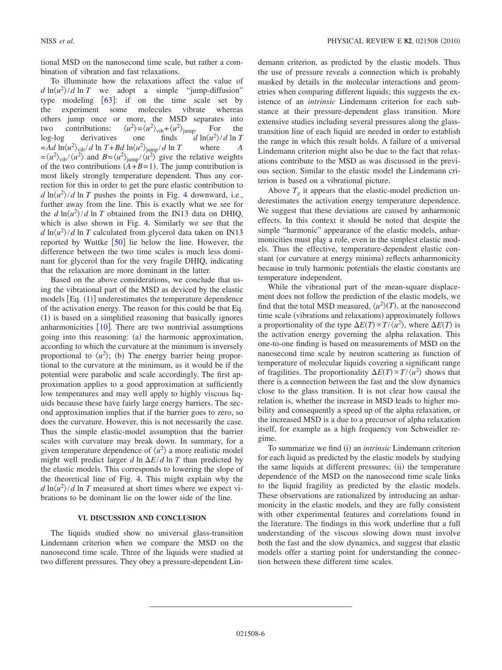tional MSD on the nanosecond time scale, but rather a combination of vibration and fast relaxations.

To illuminate how the relaxations affect the value of  $d \ln \frac{u^2}{d} \ln T$  we adopt a simple "jump-diffusion" type modeling  $[63]$  $[63]$  $[63]$ : if on the time scale set by the experiment some molecules vibrate whereas others jump once or more, the MSD separates into two contributions:  $\langle u^2 \rangle_{\text{vib}} + \langle u^2 \rangle_{\text{jump}}$ . For the log-log derivatives one finds  $\int d \ln \langle u^2 \rangle / d \ln T$  $=$ *Ad*  $\ln \left\langle u^2 \right\rangle_{\text{vib}} / d \ln T + B d \ln \left\langle u^2 \right\rangle_{\text{jump}} / d \ln T$  where *A*  $= \langle u^2 \rangle_{\text{vib}} / \langle u^2 \rangle$  and  $B = \langle u^2 \rangle_{\text{jump}} / \langle u^2 \rangle$  give the relative weights of the two contributions  $(A+B=1)$ . The jump contribution is most likely strongly temperature dependent. Thus any correction for this in order to get the pure elastic contribution to  $d \ln \frac{u^2}{d} \ln T$  pushes the points in Fig. [4](#page-3-1) downward, i.e., further away from the line. This is exactly what we see for the  $d \ln \frac{u^2}{d \ln T}$  obtained from the IN13 data on DHIQ, which is also shown in Fig. [4.](#page-3-1) Similarly we see that the  $d \ln \frac{u^2}{d}$  ln *T* calculated from glycerol data taken on IN13 reported by Wuttke  $\lceil 50 \rceil$  $\lceil 50 \rceil$  $\lceil 50 \rceil$  lie below the line. However, the difference between the two time scales is much less dominant for glycerol than for the very fragile DHIQ, indicating that the relaxation are more dominant in the latter.

Based on the above considerations, we conclude that using the vibrational part of the MSD as deviced by the elastic models  $[Eq. (1)]$  $[Eq. (1)]$  $[Eq. (1)]$  underestimates the temperature dependence of the activation energy. The reason for this could be that Eq. ([1](#page-1-0)) is based on a simplified reasoning that basically ignores anharmonicities  $[10]$  $[10]$  $[10]$ . There are two nontrivial assumptions going into this reasoning: (a) the harmonic approximation, according to which the curvature at the minimum is inversely proportional to  $\langle u^2 \rangle$ ; (b) The energy barrier being proportional to the curvature at the minimum, as it would be if the potential were parabolic and scale accordingly. The first approximation applies to a good approximation at sufficiently low temperatures and may well apply to highly viscous liquids because these have fairly large energy barriers. The second approximation implies that if the barrier goes to zero, so does the curvature. However, this is not necessarily the case. Thus the simple elastic-model assumption that the barrier scales with curvature may break down. In summary, for a given temperature dependence of  $\langle u^2 \rangle$  a more realistic model might well predict larger  $d \ln \Delta E/d \ln T$  than predicted by the elastic models. This corresponds to lowering the slope of the theoretical line of Fig. [4.](#page-3-1) This might explain why the  $d \ln \langle u^2 \rangle / d \ln T$  measured at short times where we expect vibrations to be dominant lie on the lower side of the line.

#### **VI. DISCUSSION AND CONCLUSION**

The liquids studied show no universal glass-transition Lindemann criterion when we compare the MSD on the nanosecond time scale. Three of the liquids were studied at two different pressures. They obey a pressure-dependent Lindemann criterion, as predicted by the elastic models. Thus the use of pressure reveals a connection which is probably masked by details in the molecular interactions and geometries when comparing different liquids; this suggests the existence of an *intrinsic* Lindemann criterion for each substance at their pressure-dependent glass transition. More extensive studies including several pressures along the glasstransition line of each liquid are needed in order to establish the range in which this result holds. A failure of a universal Lindemann criterion might also be due to the fact that relaxations contribute to the MSD as was discussed in the previous section. Similar to the elastic model the Lindemann criterion is based on a vibrational picture.

Above  $T_{\varrho}$  it appears that the elastic-model prediction underestimates the activation energy temperature dependence. We suggest that these deviations are caused by anharmonic effects. In this context it should be noted that despite the simple "harmonic" appearance of the elastic models, anharmonicities must play a role, even in the simplest elastic models. Thus the effective, temperature-dependent elastic constant (or curvature at energy minima) reflects anharmonicity because in truly harmonic potentials the elastic constants are temperature independent.

While the vibrational part of the mean-square displacement does not follow the prediction of the elastic models, we find that the total MSD measured,  $\langle u^2 \rangle(T)$ , at the nanosecond time scale (vibrations and relaxations) approximately follows a proportionality of the type  $\Delta E(T) \propto T / \langle u^2 \rangle$ , where  $\Delta E(T)$  is the activation energy governing the alpha relaxation. This one-to-one finding is based on measurements of MSD on the nanosecond time scale by neutron scattering as function of temperature of molecular liquids covering a significant range of fragilities. The proportionality  $\Delta E(T) \propto T / \langle u^2 \rangle$  shows that there is a connection between the fast and the slow dynamics close to the glass transition. It is not clear how causal the relation is, whether the increase in MSD leads to higher mobility and consequently a speed up of the alpha relaxation, or the increased MSD is a due to a precursor of alpha relaxation itself, for example as a high frequency von Schweidler regime.

To summarize we find (i) an *intrinsic* Lindemann criterion for each liquid as predicted by the elastic models by studying the same liquids at different pressures; (ii) the temperature dependence of the MSD on the nanosecond time scale links to the liquid fragility as predicted by the elastic models. These observations are rationalized by introducing an anharmonicity in the elastic models, and they are fully consistent with other experimental features and correlations found in the literature. The findings in this work underline that a full understanding of the viscous slowing down must involve both the fast and the slow dynamics, and suggest that elastic models offer a starting point for understanding the connection between these different time scales.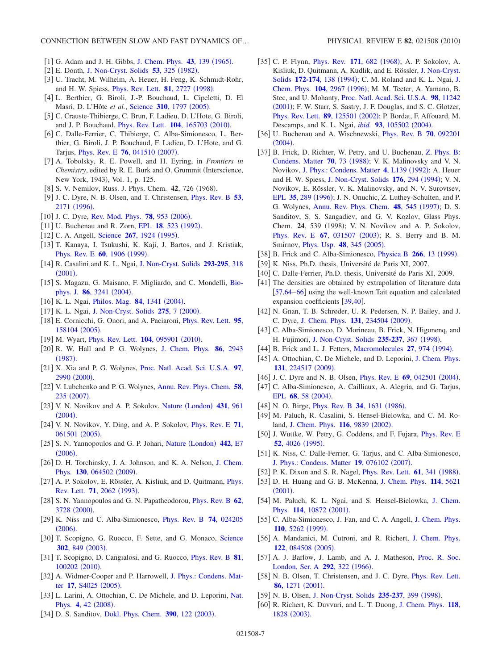- <span id="page-6-0"></span>[1] G. Adam and J. H. Gibbs, [J. Chem. Phys.](http://dx.doi.org/10.1063/1.1696442) **43**, 139 (1965).
- <span id="page-6-1"></span>[2] E. Donth, [J. Non-Cryst. Solids](http://dx.doi.org/10.1016/0022-3093(82)90089-8) **53**, 325 (1982).
- <span id="page-6-2"></span>3 U. Tracht, M. Wilhelm, A. Heuer, H. Feng, K. Schmidt-Rohr, and H. W. Spiess, *[Phys. Rev. Lett.](http://dx.doi.org/10.1103/PhysRevLett.81.2727)* **81**, 2727 (1998).
- <span id="page-6-3"></span>[4] L. Berthier, G. Biroli, J.-P. Bouchaud, L. Cipeletti, D. El Masri, D. L'Hôte *et al.*, [Science](http://dx.doi.org/10.1126/science.1120714) **310**, 1797 (2005).
- 5 C. Crauste-Thibierge, C. Brun, F. Ladieu, D. L'Hote, G. Biroli, and J. P. Bouchaud, *[Phys. Rev. Lett.](http://dx.doi.org/10.1103/PhysRevLett.104.165703)* **104**, 165703 (2010).
- <span id="page-6-4"></span>[6] C. Dalle-Ferrier, C. Thibierge, C. Alba-Simionesco, L. Berthier, G. Biroli, J. P. Bouchaud, F. Ladieu, D. L'Hote, and G. Tarjus, *[Phys. Rev. E](http://dx.doi.org/10.1103/PhysRevE.76.041510)* **76**, 041510 (2007).
- <span id="page-6-5"></span>7 A. Tobolsky, R. E. Powell, and H. Eyring, in *Frontiers in Chemistry*, edited by R. E. Burk and O. Grummit (Interscience, New York, 1943), Vol. 1, p. 125.
- <span id="page-6-6"></span>[8] S. V. Nemilov, Russ. J. Phys. Chem. **42**, 726 (1968).
- <span id="page-6-7"></span>9 J. C. Dyre, N. B. Olsen, and T. Christensen, [Phys. Rev. B](http://dx.doi.org/10.1103/PhysRevB.53.2171) **53**, [2171](http://dx.doi.org/10.1103/PhysRevB.53.2171) (1996).
- <span id="page-6-8"></span>[10] J. C. Dyre, [Rev. Mod. Phys.](http://dx.doi.org/10.1103/RevModPhys.78.953) **78**, 953 (2006).
- <span id="page-6-9"></span>[11] U. Buchenau and R. Zorn, EPL **18**[, 523](http://dx.doi.org/10.1209/0295-5075/18/6/009) (1992).
- <span id="page-6-10"></span>[12] C. A. Angell, [Science](http://dx.doi.org/10.1126/science.267.5206.1924) **267**, 1924 (1995).
- 13 T. Kanaya, I. Tsukushi, K. Kaji, J. Bartos, and J. Kristiak, [Phys. Rev. E](http://dx.doi.org/10.1103/PhysRevE.60.1906) **60**, 1906 (1999).
- <span id="page-6-49"></span>14 R. Casalini and K. L. Ngai, [J. Non-Cryst. Solids](http://dx.doi.org/10.1016/S0022-3093(01)00832-8) **293-295**, 318  $(2001).$  $(2001).$  $(2001).$
- [15] S. Magazu, G. Maisano, F. Migliardo, and C. Mondelli, [Bio](http://dx.doi.org/10.1016/S0006-3495(04)74372-6)[phys. J.](http://dx.doi.org/10.1016/S0006-3495(04)74372-6) 86, 3241 (2004).
- <span id="page-6-28"></span>[16] K. L. Ngai, *[Philos. Mag.](http://dx.doi.org/10.1080/14786430310001644080)* **84**, 1341 (2004).
- [17] K. L. Ngai, [J. Non-Cryst. Solids](http://dx.doi.org/10.1016/S0022-3093(00)00238-6) 275, 7 (2000).
- <span id="page-6-11"></span>18 E. Cornicchi, G. Onori, and A. Paciaroni, [Phys. Rev. Lett.](http://dx.doi.org/10.1103/PhysRevLett.95.158104) **95**, [158104](http://dx.doi.org/10.1103/PhysRevLett.95.158104) (2005).
- <span id="page-6-12"></span>[19] M. Wyart, *[Phys. Rev. Lett.](http://dx.doi.org/10.1103/PhysRevLett.104.095901)* **104**, 095901 (2010).
- <span id="page-6-13"></span>20 R. W. Hall and P. G. Wolynes, [J. Chem. Phys.](http://dx.doi.org/10.1063/1.452045) **86**, 2943  $(1987).$  $(1987).$  $(1987).$
- <span id="page-6-14"></span>21 X. Xia and P. G. Wolynes, [Proc. Natl. Acad. Sci. U.S.A.](http://dx.doi.org/10.1073/pnas.97.7.2990) **97**, [2990](http://dx.doi.org/10.1073/pnas.97.7.2990) (2000).
- <span id="page-6-15"></span>22 V. Lubchenko and P. G. Wolynes, [Annu. Rev. Phys. Chem.](http://dx.doi.org/10.1146/annurev.physchem.58.032806.104653) **58**, 235 ([2007](http://dx.doi.org/10.1146/annurev.physchem.58.032806.104653)).
- <span id="page-6-16"></span>[23] V. N. Novikov and A. P. Sokolov, Nature ([London](http://dx.doi.org/10.1038/nature02947)) 431, 961  $(2004).$  $(2004).$  $(2004).$
- <span id="page-6-17"></span>24 V. N. Novikov, Y. Ding, and A. P. Sokolov, [Phys. Rev. E](http://dx.doi.org/10.1103/PhysRevE.71.061501) **71**, [061501](http://dx.doi.org/10.1103/PhysRevE.71.061501) (2005).
- <span id="page-6-18"></span>[25] S. N. Yannopoulos and G. P. Johari, Nature ([London](http://dx.doi.org/10.1038/nature04967)) 442, E7  $(2006).$  $(2006).$  $(2006).$
- <span id="page-6-19"></span>[26] D. H. Torchinsky, J. A. Johnson, and K. A. Nelson, [J. Chem.](http://dx.doi.org/10.1063/1.3072476) Phys. 130[, 064502](http://dx.doi.org/10.1063/1.3072476) (2009).
- <span id="page-6-20"></span>[27] A. P. Sokolov, E. Rössler, A. Kisliuk, and D. Quitmann, *[Phys.](http://dx.doi.org/10.1103/PhysRevLett.71.2062)* [Rev. Lett.](http://dx.doi.org/10.1103/PhysRevLett.71.2062) **71**, 2062 (1993).
- <span id="page-6-21"></span>28 S. N. Yannopoulos and G. N. Papatheodorou, [Phys. Rev. B](http://dx.doi.org/10.1103/PhysRevB.62.3728) **62**, [3728](http://dx.doi.org/10.1103/PhysRevB.62.3728) (2000).
- <span id="page-6-22"></span>29 K. Niss and C. Alba-Simionesco, [Phys. Rev. B](http://dx.doi.org/10.1103/PhysRevB.74.024205) **74**, 024205  $(2006).$  $(2006).$  $(2006).$
- <span id="page-6-23"></span>[30] T. Scopigno, G. Ruocco, F. Sette, and G. Monaco, [Science](http://dx.doi.org/10.1126/science.1089446) **302**[, 849](http://dx.doi.org/10.1126/science.1089446) (2003).
- <span id="page-6-24"></span>31 T. Scopigno, D. Cangialosi, and G. Ruocco, [Phys. Rev. B](http://dx.doi.org/10.1103/PhysRevB.81.100202) **81**, [100202](http://dx.doi.org/10.1103/PhysRevB.81.100202) (2010).
- <span id="page-6-25"></span>[32] A. Widmer-Cooper and P. Harrowell, [J. Phys.: Condens. Mat-](http://dx.doi.org/10.1088/0953-8984/17/49/001)ter 17[, S4025](http://dx.doi.org/10.1088/0953-8984/17/49/001) (2005).
- <span id="page-6-26"></span>33 L. Larini, A. Ottochian, C. De Michele, and D. Leporini, [Nat.](http://dx.doi.org/10.1038/nphys788) [Phys.](http://dx.doi.org/10.1038/nphys788) 4, 42 (2008).
- <span id="page-6-27"></span>[34] D. S. Sanditov, [Dokl. Phys. Chem.](http://dx.doi.org/10.1023/A:1023922511485) 390, 122 (2003).
- <span id="page-6-29"></span>[35] C. P. Flynn, *[Phys. Rev.](http://dx.doi.org/10.1103/PhysRev.171.682)* **171**, 682 (1968); A. P. Sokolov, A. Kisliuk, D. Quitmann, A. Kudlik, and E. Rössler, [J. Non-Cryst.](http://dx.doi.org/10.1016/0022-3093(94)90426-X) Solids **[172-174](http://dx.doi.org/10.1016/0022-3093(94)90426-X)**, 138 (1994); C. M. Roland and K. L. Ngai, [J.](http://dx.doi.org/10.1063/1.471117) [Chem. Phys.](http://dx.doi.org/10.1063/1.471117) **104**, 2967 (1996); M. M. Teeter, A. Yamano, B. Stec, and U. Mohanty, [Proc. Natl. Acad. Sci. U.S.A.](http://dx.doi.org/10.1073/pnas.201404398) **98**, 11242 ([2001](http://dx.doi.org/10.1073/pnas.201404398)); F. W. Starr, S. Sastry, J. F. Douglas, and S. C. Glotzer, [Phys. Rev. Lett.](http://dx.doi.org/10.1103/PhysRevLett.89.125501) 89, 125501 (2002); P. Bordat, F. Affouard, M. Descamps, and K. L. Ngai, *ibid.* **93**[, 105502](http://dx.doi.org/10.1103/PhysRevLett.93.105502) (2004).
- <span id="page-6-30"></span>36 U. Buchenau and A. Wischnewski, [Phys. Rev. B](http://dx.doi.org/10.1103/PhysRevB.70.092201) **70**, 092201  $(2004).$  $(2004).$  $(2004).$
- <span id="page-6-31"></span>[37] B. Frick, D. Richter, W. Petry, and U. Buchenau, [Z. Phys. B:](http://dx.doi.org/10.1007/BF01320541) [Condens. Matter](http://dx.doi.org/10.1007/BF01320541) **70**, 73 (1988); V. K. Malinovsky and V. N. Novikov, [J. Phys.: Condens. Matter](http://dx.doi.org/10.1088/0953-8984/4/9/003) 4, L139 (1992); A. Heuer and H. W. Spiess, [J. Non-Cryst. Solids](http://dx.doi.org/10.1016/0022-3093(94)90090-6) 176, 294 (1994); V. N. Novikov, E. Rössler, V. K. Malinovsky, and N. V. Surovtsev, EPL 35[, 289](http://dx.doi.org/10.1209/epl/i1996-00568-7) (1996); J. N. Onuchic, Z. Luthey-Schulten, and P. G. Wolynes, [Annu. Rev. Phys. Chem.](http://dx.doi.org/10.1146/annurev.physchem.48.1.545) **48**, 545 (1997); D. S. Sanditov, S. S. Sangadiev, and G. V. Kozlov, Glass Phys. Chem. **24**, 539 (1998); V. N. Novikov and A. P. Sokolov, [Phys. Rev. E](http://dx.doi.org/10.1103/PhysRevE.67.031507) **67**, 031507 (2003); R. S. Berry and B. M. Smirnov, *[Phys. Usp.](http://dx.doi.org/10.1070/PU2005v048n04ABEH002022)* **48**, 345 (2005).
- <span id="page-6-32"></span>[38] B. Frick and C. Alba-Simionesco, *[Physica B](http://dx.doi.org/10.1016/S0921-4526(98)01487-2)* 266, 13 (1999).
- <span id="page-6-33"></span>39 K. Niss, Ph.D. thesis, Université de Paris XI, 2007.
- <span id="page-6-34"></span>[40] C. Dalle-Ferrier, Ph.D. thesis, Université de Paris XI, 2009.
- <span id="page-6-35"></span>[41] The densities are obtained by extrapolation of literature data [[57,](#page-6-52)[64](#page-7-3)[–66](#page-7-4)] using the well-known Tait equation and calculated expansion coefficients  $\left[39,40\right]$  $\left[39,40\right]$  $\left[39,40\right]$  $\left[39,40\right]$ .
- <span id="page-6-36"></span>[42] N. Gnan, T. B. Schrøder, U. R. Pedersen, N. P. Bailey, and J. C. Dyre, [J. Chem. Phys.](http://dx.doi.org/10.1063/1.3265957) **131**, 234504 (2009).
- <span id="page-6-37"></span>[43] C. Alba-Simionesco, D. Morineau, B. Frick, N. Higonenq, and H. Fujimori, [J. Non-Cryst. Solids](http://dx.doi.org/10.1016/S0022-3093(98)00652-8) 235-237, 367 (1998).
- <span id="page-6-38"></span>[44] B. Frick and L. J. Fetters, [Macromolecules](http://dx.doi.org/10.1021/ma00082a014) 27, 974 (1994).
- <span id="page-6-39"></span>[45] A. Ottochian, C. De Michele, and D. Leporini, [J. Chem. Phys.](http://dx.doi.org/10.1063/1.3269041) 131[, 224517](http://dx.doi.org/10.1063/1.3269041) (2009).
- <span id="page-6-40"></span>[46] J. C. Dyre and N. B. Olsen, *[Phys. Rev. E](http://dx.doi.org/10.1103/PhysRevE.69.042501)* **69**, 042501 (2004).
- <span id="page-6-42"></span>[47] C. Alba-Simionesco, A. Cailliaux, A. Alegria, and G. Tarjus, EPL **68**, 58 ([2004](http://dx.doi.org/10.1209/epl/i2004-10214-6)).
- <span id="page-6-43"></span>[48] N. O. Birge, *[Phys. Rev. B](http://dx.doi.org/10.1103/PhysRevB.34.1631)* 34, 1631 (1986).
- <span id="page-6-44"></span>[49] M. Paluch, R. Casalini, S. Hensel-Bielowka, and C. M. Ro-land, [J. Chem. Phys.](http://dx.doi.org/10.1063/1.1473652) **116**, 9839 (2002).
- <span id="page-6-41"></span>[50] J. Wuttke, W. Petry, G. Coddens, and F. Fujara, *[Phys. Rev. E](http://dx.doi.org/10.1103/PhysRevE.52.4026)* **52**[, 4026](http://dx.doi.org/10.1103/PhysRevE.52.4026) (1995).
- <span id="page-6-45"></span>[51] K. Niss, C. Dalle-Ferrier, G. Tarjus, and C. Alba-Simionesco, [J. Phys.: Condens. Matter](http://dx.doi.org/10.1088/0953-8984/19/7/076102) 19, 076102 (2007).
- <span id="page-6-46"></span>[52] P. K. Dixon and S. R. Nagel, *[Phys. Rev. Lett.](http://dx.doi.org/10.1103/PhysRevLett.61.341)* **61**, 341 (1988).
- <span id="page-6-47"></span>53 D. H. Huang and G. B. McKenna, [J. Chem. Phys.](http://dx.doi.org/10.1063/1.1348029) **114**, 5621  $(2001).$  $(2001).$  $(2001).$
- <span id="page-6-48"></span>[54] M. Paluch, K. L. Ngai, and S. Hensel-Bielowka, [J. Chem.](http://dx.doi.org/10.1063/1.1374556) Phys. 114[, 10872](http://dx.doi.org/10.1063/1.1374556) (2001).
- <span id="page-6-50"></span>[55] C. Alba-Simionesco, J. Fan, and C. A. Angell, [J. Chem. Phys.](http://dx.doi.org/10.1063/1.478800) 110[, 5262](http://dx.doi.org/10.1063/1.478800) (1999).
- <span id="page-6-51"></span>[56] A. Mandanici, M. Cutroni, and R. Richert, [J. Chem. Phys.](http://dx.doi.org/10.1063/1.1854628) 122[, 084508](http://dx.doi.org/10.1063/1.1854628) (2005).
- <span id="page-6-52"></span>[57] A. J. Barlow, J. Lamb, and A. J. Matheson, [Proc. R. Soc.](http://dx.doi.org/10.1098/rspa.1966.0138) [London, Ser. A](http://dx.doi.org/10.1098/rspa.1966.0138) 292, 322 (1966).
- <span id="page-6-53"></span>[58] N. B. Olsen, T. Christensen, and J. C. Dyre, *[Phys. Rev. Lett.](http://dx.doi.org/10.1103/PhysRevLett.86.1271)* 86[, 1271](http://dx.doi.org/10.1103/PhysRevLett.86.1271) (2001).
- <span id="page-6-54"></span>[59] N. B. Olsen, [J. Non-Cryst. Solids](http://dx.doi.org/10.1016/S0022-3093(98)00599-7) 235-237, 399 (1998).
- <span id="page-6-55"></span>60 R. Richert, K. Duvvuri, and L. T. Duong, [J. Chem. Phys.](http://dx.doi.org/10.1063/1.1531587) **118**, [1828](http://dx.doi.org/10.1063/1.1531587) (2003).